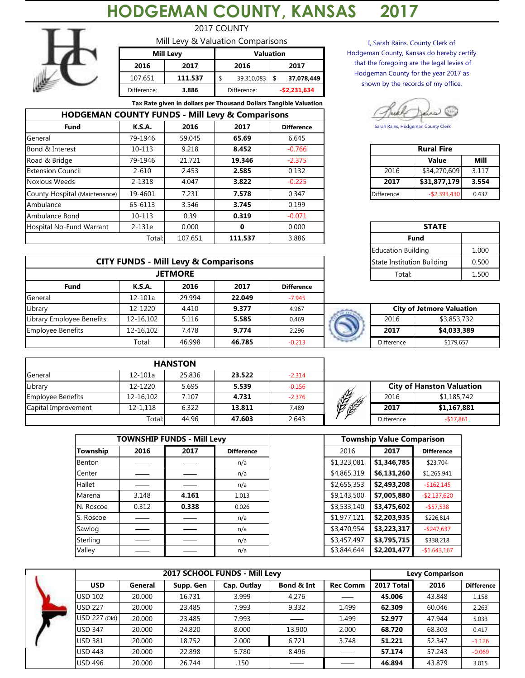## **HODGEMAN COUNTY, KANSAS 2017**



**Fund**

**Hospital No-Fund Warrant** 

Ambulance Bond

Ambulance

General

## 2017 COUNTY Mill Levy & Valuation Comparisons

|             | .                |                  |             |  |               |  |  |
|-------------|------------------|------------------|-------------|--|---------------|--|--|
|             | <b>Mill Levy</b> | <b>Valuation</b> |             |  |               |  |  |
| 2016        | 2017             |                  | 2016        |  | 2017          |  |  |
| 107.651     | 111.537          |                  | 39,310,083  |  | 37,078,449    |  |  |
| Difference: | 3.886            |                  | Difference: |  | $-$2,231,634$ |  |  |

**K.S.A. 2016 2017 Difference** 79-1946 59.045 **65.69** 6.645 10-113 9.218 **8.452** -0.766

**Tax Rate given in dollars per Thousand Dollars Tangible Valuation**

65-6113 3.546 **3.745** 0.199 10-113 0.39 **0.319** -0.071 2-131e 0.000 **0** 0.000

I, Sarah Rains, County Clerk of Hodgeman County, Kansas do hereby certify that the foregoing are the legal levies of Hodgeman County for the year 2017 as shown by the records of my office.

Sarah Rains, Hodgeman County Clerk

| Bond & Interest               | 10-113  | 9.218  | 8.452  | $-0.766$ | <b>Rural Fire</b><br>2016<br>2017 |                 |  |
|-------------------------------|---------|--------|--------|----------|-----------------------------------|-----------------|--|
| Road & Bridge                 | 79-1946 | 21.721 | 19.346 | $-2.375$ |                                   | <b>Value</b>    |  |
| <b>Extension Council</b>      | 2-610   | 2.453  | 2.585  | 0.132    |                                   | \$34,270,609    |  |
| Noxious Weeds                 | 2-1318  | 4.047  | 3.822  | $-0.225$ |                                   | \$31,877,179    |  |
| County Hospital (Maintenance) | 19-4601 | 7.231  | 7.578  | 0.347    | <b>Difference</b>                 | $-$ \$2,393,430 |  |

| 1e     | 0.000                     |         | 0.000 |                                     |                           |       |       |  |  |  |
|--------|---------------------------|---------|-------|-------------------------------------|---------------------------|-------|-------|--|--|--|
| Total: | 107.651                   | 111.537 | 3.886 |                                     | <b>Fund</b>               |       |       |  |  |  |
|        |                           |         |       |                                     | <b>Education Building</b> | 1.000 |       |  |  |  |
|        | - Mill Levy & Comparisons |         |       | State Institution Building<br>0.500 |                           |       |       |  |  |  |
|        | <b>JETMORE</b>            |         |       |                                     | Total:                    |       | 1.500 |  |  |  |

|            | <b>City of Jetmore Valuation</b> |
|------------|----------------------------------|
| 2016       | \$3,853,732                      |
| 2017       | \$4,033,389                      |
| Difference | \$179.657                        |

|                           |             |                                                 |        |                   | Euucution Bunding          |                                  |  |
|---------------------------|-------------|-------------------------------------------------|--------|-------------------|----------------------------|----------------------------------|--|
|                           |             | <b>CITY FUNDS - Mill Levy &amp; Comparisons</b> |        |                   | State Institution Building |                                  |  |
|                           |             | <b>JETMORE</b>                                  |        |                   | Total:                     |                                  |  |
| <b>Fund</b>               | K.S.A.      | 2016                                            | 2017   | <b>Difference</b> |                            |                                  |  |
| General                   | $12 - 101a$ | 29.994                                          | 22.049 | $-7.945$          |                            |                                  |  |
| Library                   | 12-1220     | 4.410                                           | 9.377  | 4.967             |                            | <b>City of Jetmore Valuation</b> |  |
| Library Employee Benefits | 12-16.102   | 5.116                                           | 5.585  | 0.469             | 2016                       | \$3,853,732                      |  |
| <b>Employee Benefits</b>  | 12-16.102   | 7.478                                           | 9.774  | 2.296             | 2017                       | \$4,033,389                      |  |
|                           | Total:      | 46.998                                          | 46.785 | $-0.213$          | Difference                 | \$179,657                        |  |

**HODGEMAN COUNTY FUNDS - Mill Levy & Comparisons**

|                          |             | <b>HANSTON</b> |        |          |              |                                  |             |  |
|--------------------------|-------------|----------------|--------|----------|--------------|----------------------------------|-------------|--|
| General                  | $12 - 101a$ | 25.836         | 23.522 | $-2.314$ |              |                                  |             |  |
| Library                  | 12-1220     | 5.695          | 5.539  | $-0.156$ |              | <b>City of Hanston Valuation</b> |             |  |
| <b>Employee Benefits</b> | 12-16.102   | 7.107          | 4.731  | $-2.376$ |              | 2016                             | \$1,185,742 |  |
| Capital Improvement      | 12-1.118    | 6.322          | 13.811 | 7.489    | <b>CELES</b> | 2017                             | \$1,167,881 |  |
|                          | Total:      | 44.96          | 47.603 | 2.643    |              | Difference                       | $-$17,861$  |  |

|           |       | <b>TOWNSHIP FUNDS - Mill Levy</b> |                   |             | <b>Township Value Comparison</b> |                   |
|-----------|-------|-----------------------------------|-------------------|-------------|----------------------------------|-------------------|
| Township  | 2016  | 2017                              | <b>Difference</b> | 2016        | 2017                             | <b>Difference</b> |
| Benton    |       |                                   | n/a               | \$1,323,081 | \$1,346,785                      | \$23,704          |
| Center    |       |                                   | n/a               | \$4,865,319 | \$6,131,260                      | \$1,265,941       |
| Hallet    |       |                                   | n/a               | \$2,655,353 | \$2,493,208                      | $-$162,145$       |
| Marena    | 3.148 | 4.161                             | 1.013             | \$9,143,500 | \$7,005,880                      | $-$ \$2,137,620   |
| N. Roscoe | 0.312 | 0.338                             | 0.026             | \$3,533,140 | \$3,475,602                      | $-$ \$57,538      |
| S. Roscoe |       |                                   | n/a               | \$1,977,121 | \$2,203,935                      | \$226,814         |
| Sawlog    |       |                                   | n/a               | \$3,470,954 | \$3,223,317                      | $-$ \$247,637     |
| Sterling  |       |                                   | n/a               | \$3,457,497 | \$3,795,715                      | \$338,218         |
| Valley    |       |                                   | n/a               | \$3,844,644 | \$2,201,477                      | $-$1,643,167$     |

|                       |        |           | 2017 SCHOOL FUNDS - Mill Levy |            |                 | <b>Levy Comparison</b> |        |                   |  |  |
|-----------------------|--------|-----------|-------------------------------|------------|-----------------|------------------------|--------|-------------------|--|--|
| <b>USD</b><br>General |        | Supp. Gen | Cap. Outlay                   | Bond & Int | <b>Rec Comm</b> | 2017 Total             | 2016   | <b>Difference</b> |  |  |
| <b>USD 102</b>        | 20.000 | 16.731    | 3.999                         | 4.276      | <b>Service</b>  | 45.006                 | 43.848 | 1.158             |  |  |
| <b>USD 227</b>        | 20,000 | 23.485    | 7.993                         | 9.332      | 1.499           | 62.309                 | 60.046 | 2.263             |  |  |
| USD 227 (Old)         | 20.000 | 23.485    | 7.993                         |            | 1.499           | 52.977                 | 47.944 | 5.033             |  |  |
| <b>USD 347</b>        | 20.000 | 24.820    | 8.000                         | 13.900     | 2.000           | 68.720                 | 68.303 | 0.417             |  |  |
| <b>USD 381</b>        | 20.000 | 18.752    | 2.000                         | 6.721      | 3.748           | 51.221                 | 52.347 | $-1.126$          |  |  |
| <b>USD 443</b>        | 20.000 | 22.898    | 5.780                         | 8.496      |                 | 57.174                 | 57.243 | $-0.069$          |  |  |
| <b>USD 496</b>        | 20.000 | 26.744    | .150                          |            |                 | 46.894                 | 43.879 | 3.015             |  |  |